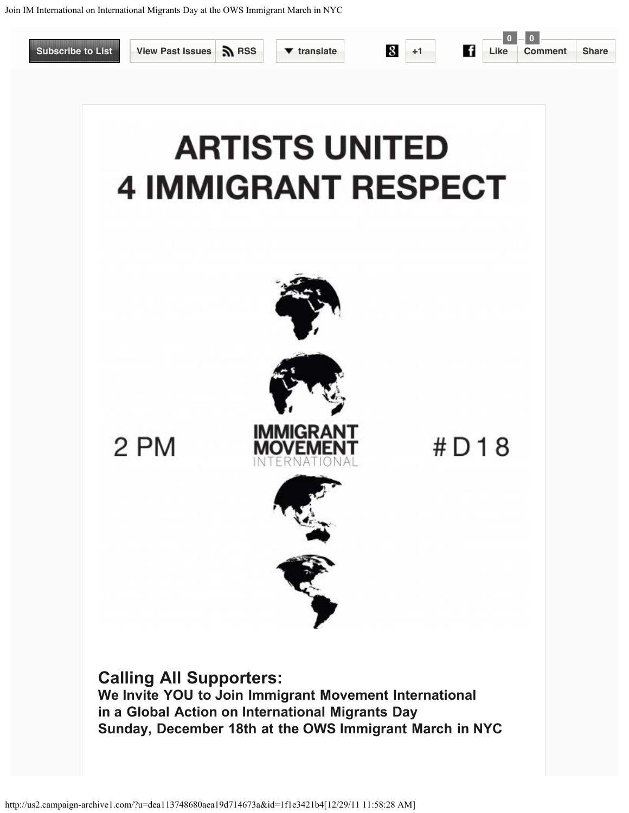## <span id="page-0-1"></span><span id="page-0-0"></span>**ARTISTS UNITED 4 IMMIGRANT RESPECT**



 $#D18$ 

2 PM



**Calling All Supporters:**

**We Invite YOU to Join Immigrant Movement International in a Global Action on International Migrants Day Sunday, December 18th at the OWS Immigrant March in NYC**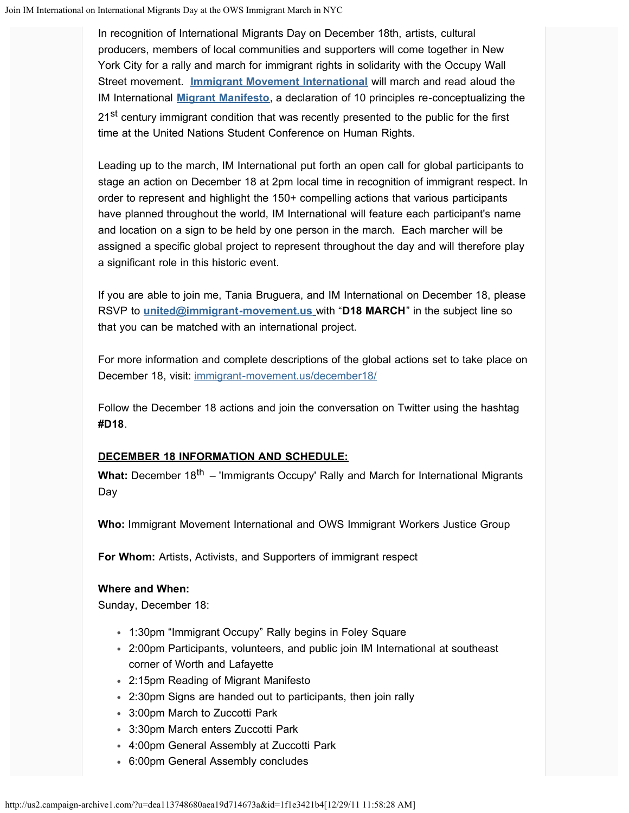In recognition of International Migrants Day on December 18th, artists, cultural producers, members of local communities and supporters will come together in New York City for a rally and march for immigrant rights in solidarity with the Occupy Wall Street movement. **[Immigrant Movement International](http://www.immigrant-movement.us/)** will march and read aloud the IM International **[Migrant Manifesto](http://immigrant-movement.us/migrant-manifesto/)**, a declaration of 10 principles re-conceptualizing the 21<sup>st</sup> century immigrant condition that was recently presented to the public for the first time at the United Nations Student Conference on Human Rights.

Leading up to the march, IM International put forth an open call for global participants to stage an action on December 18 at 2pm local time in recognition of immigrant respect. In order to represent and highlight the 150+ compelling actions that various participants have planned throughout the world, IM International will feature each participant's name and location on a sign to be held by one person in the march. Each marcher will be assigned a specific global project to represent throughout the day and will therefore play a significant role in this historic event.

If you are able to join me, Tania Bruguera, and IM International on December 18, please RSVP to **[united@immigrant-movement.us](mailto:united@immigrant-movement.us?subject=D18%20MARCH)** with "**D18 MARCH**" in the subject line so that you can be matched with an international project.

For more information and complete descriptions of the global actions set to take place on December 18, visit: [immigrant-movement.us/december18/](http://immigrant-movement.us/december18/)

Follow the December 18 actions and join the conversation on Twitter using the hashtag **#D18**.

## **DECEMBER 18 INFORMATION AND SCHEDULE:**

What: December 18<sup>th</sup> – 'Immigrants Occupy' Rally and March for International Migrants Day

**Who:** Immigrant Movement International and OWS Immigrant Workers Justice Group

**For Whom:** Artists, Activists, and Supporters of immigrant respect

## **Where and When:**

Sunday, December 18:

- 1:30pm "Immigrant Occupy" Rally begins in Foley Square
- 2:00pm Participants, volunteers, and public join IM International at southeast corner of Worth and Lafayette
- 2:15pm Reading of Migrant Manifesto
- 2:30pm Signs are handed out to participants, then join rally
- 3:00pm March to Zuccotti Park
- 3:30pm March enters Zuccotti Park
- 4:00pm General Assembly at Zuccotti Park
- 6:00pm General Assembly concludes